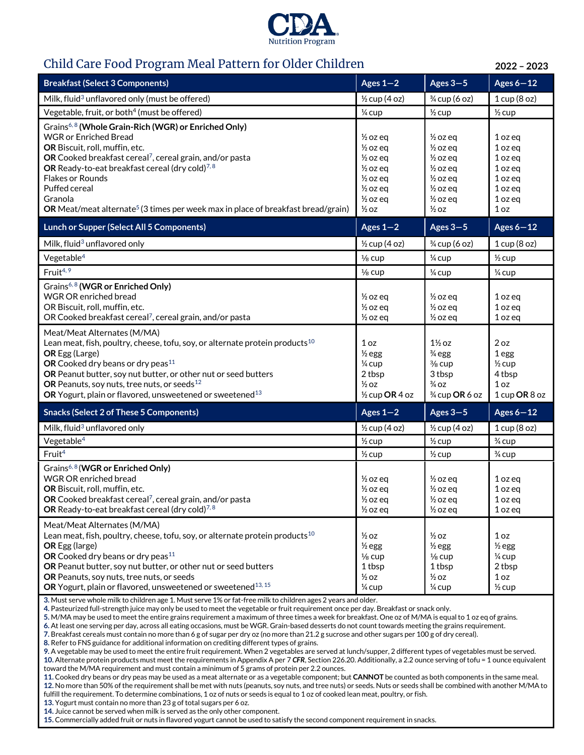

## Child Care Food Program Meal Pattern for Older Children **2022 – 2023**

| <b>Breakfast (Select 3 Components)</b>                                                                                                                                                                                                                                                                                                                                                                                         | Ages $1-2$                                                                                                                                                                        | Ages $3-5$                                                                                                                                                                        | Ages $6-12$                                                                                                 |
|--------------------------------------------------------------------------------------------------------------------------------------------------------------------------------------------------------------------------------------------------------------------------------------------------------------------------------------------------------------------------------------------------------------------------------|-----------------------------------------------------------------------------------------------------------------------------------------------------------------------------------|-----------------------------------------------------------------------------------------------------------------------------------------------------------------------------------|-------------------------------------------------------------------------------------------------------------|
| Milk, fluid <sup>3</sup> unflavored only (must be offered)                                                                                                                                                                                                                                                                                                                                                                     | $\frac{1}{2}$ cup (4 oz)                                                                                                                                                          | $\frac{3}{4}$ cup (6 oz)                                                                                                                                                          | 1 cup (8 oz)                                                                                                |
| Vegetable, fruit, or both <sup>4</sup> (must be offered)                                                                                                                                                                                                                                                                                                                                                                       | 1/4 cup                                                                                                                                                                           | $\frac{1}{2}$ cup                                                                                                                                                                 | $\frac{1}{2}$ cup                                                                                           |
| Grains <sup>6,8</sup> (Whole Grain-Rich (WGR) or Enriched Only)<br><b>WGR</b> or Enriched Bread<br>OR Biscuit, roll, muffin, etc.<br>OR Cooked breakfast cereal <sup>7</sup> , cereal grain, and/or pasta<br>OR Ready-to-eat breakfast cereal (dry cold) <sup>7,8</sup><br><b>Flakes or Rounds</b><br>Puffed cereal<br>Granola<br>OR Meat/meat alternate <sup>5</sup> (3 times per week max in place of breakfast bread/grain) | $\frac{1}{2}$ oz eq<br>$\frac{1}{2}$ oz eq<br>$\frac{1}{2}$ oz eq<br>$\frac{1}{2}$ oz eq<br>$\frac{1}{2}$ oz eq<br>$\frac{1}{2}$ oz eq<br>$\frac{1}{2}$ oz eq<br>$\frac{1}{2}$ oz | $\frac{1}{2}$ oz eq<br>$\frac{1}{2}$ oz eq<br>$\frac{1}{2}$ oz eq<br>$\frac{1}{2}$ oz eq<br>$\frac{1}{2}$ oz eq<br>$\frac{1}{2}$ oz eq<br>$\frac{1}{2}$ oz eq<br>$\frac{1}{2}$ oz | 1 oz eq<br>1 oz eq<br>1 oz eq<br>1 oz eg<br>1 oz eg<br>1 oz eq<br>1 oz eq<br>1 <sub>oz</sub>                |
| <b>Lunch or Supper (Select All 5 Components)</b>                                                                                                                                                                                                                                                                                                                                                                               | Ages $1-2$                                                                                                                                                                        | Ages $3-5$                                                                                                                                                                        | Ages $6-12$                                                                                                 |
| Milk, fluid <sup>3</sup> unflavored only                                                                                                                                                                                                                                                                                                                                                                                       | $\frac{1}{2}$ cup (4 oz)                                                                                                                                                          | 3/4 cup (6 oz)                                                                                                                                                                    | 1 cup(8 oz)                                                                                                 |
| Vegetable <sup>4</sup>                                                                                                                                                                                                                                                                                                                                                                                                         | $\frac{1}{8}$ cup                                                                                                                                                                 | $\frac{1}{4}$ cup                                                                                                                                                                 | $\frac{1}{2}$ cup                                                                                           |
| Fruit <sup>4, 9</sup>                                                                                                                                                                                                                                                                                                                                                                                                          | $\frac{1}{8}$ cup                                                                                                                                                                 | $\frac{1}{4}$ cup                                                                                                                                                                 | $\frac{1}{4}$ cup                                                                                           |
| Grains <sup>6,8</sup> (WGR or Enriched Only)<br><b>WGR OR enriched bread</b><br>OR Biscuit, roll, muffin, etc.<br>OR Cooked breakfast cereal <sup>7</sup> , cereal grain, and/or pasta                                                                                                                                                                                                                                         | $\frac{1}{2}$ oz eq<br>$\frac{1}{2}$ oz eq<br>$\frac{1}{2}$ oz eq                                                                                                                 | $\frac{1}{2}$ oz eq<br>$\frac{1}{2}$ oz eq<br>$\frac{1}{2}$ oz eq                                                                                                                 | 1 oz eq<br>$1$ oz eq<br>1 oz eq                                                                             |
| Meat/Meat Alternates (M/MA)<br>Lean meat, fish, poultry, cheese, tofu, soy, or alternate protein products <sup>10</sup><br><b>OR</b> Egg (Large)<br>OR Cooked dry beans or dry peas <sup>11</sup><br>OR Peanut butter, soy nut butter, or other nut or seed butters<br>OR Peanuts, soy nuts, tree nuts, or seeds <sup>12</sup><br>OR Yogurt, plain or flavored, unsweetened or sweetened <sup>13</sup>                         | 1 <sub>oz</sub><br>$\frac{1}{2}$ egg<br>$\frac{1}{4}$ cup<br>2 tbsp<br>$\frac{1}{2}$ oz<br>$\frac{1}{2}$ cup OR 4 oz                                                              | $1\frac{1}{2}$ oz<br>$\frac{3}{4}$ egg<br>$\frac{3}{8}$ cup<br>3 tbsp<br>$\frac{3}{4}$ OZ<br>3/4 cup OR 6 oz                                                                      | 2 oz<br>1 egg<br>$\frac{1}{2}$ cup<br>4 tbsp<br>1 <sub>oz</sub><br>1 cup OR 8 oz                            |
| <b>Snacks (Select 2 of These 5 Components)</b>                                                                                                                                                                                                                                                                                                                                                                                 | Ages $1-2$                                                                                                                                                                        | Ages $3-5$                                                                                                                                                                        | Ages $6-12$                                                                                                 |
| Milk, fluid <sup>3</sup> unflavored only                                                                                                                                                                                                                                                                                                                                                                                       | $\frac{1}{2}$ cup (4 oz)                                                                                                                                                          | $\frac{1}{2}$ cup (4 oz)                                                                                                                                                          | 1 cup(8 oz)                                                                                                 |
| Vegetable <sup>4</sup>                                                                                                                                                                                                                                                                                                                                                                                                         | $\frac{1}{2}$ cup                                                                                                                                                                 | $\frac{1}{2}$ cup                                                                                                                                                                 | $\frac{3}{4}$ cup                                                                                           |
| Fruit <sup>4</sup>                                                                                                                                                                                                                                                                                                                                                                                                             | $\frac{1}{2}$ cup                                                                                                                                                                 | $\frac{1}{2}$ cup                                                                                                                                                                 | $\frac{3}{4}$ cup                                                                                           |
| Grains <sup>6, 8</sup> (WGR or Enriched Only)<br><b>WGR OR enriched bread</b><br>OR Biscuit, roll, muffin, etc.<br>OR Cooked breakfast cereal <sup>7</sup> , cereal grain, and/or pasta<br>OR Ready-to-eat breakfast cereal (dry cold) <sup>7,8</sup>                                                                                                                                                                          | $\frac{1}{2}$ oz eq<br>$\frac{1}{2}$ oz eq<br>$\frac{1}{2}$ oz eq<br>$\frac{1}{2}$ oz eq                                                                                          | $\frac{1}{2}$ oz ea<br>$\frac{1}{2}$ oz eq<br>$\frac{1}{2}$ oz eq<br>$\frac{1}{2}$ oz eq                                                                                          | 1 oz eg<br>1 oz eq<br>1 oz eq<br>1 oz eq                                                                    |
| Meat/Meat Alternates (M/MA)                                                                                                                                                                                                                                                                                                                                                                                                    |                                                                                                                                                                                   |                                                                                                                                                                                   |                                                                                                             |
| Lean meat, fish, poultry, cheese, tofu, soy, or alternate protein products <sup>10</sup><br><b>OR</b> Egg (large)<br>OR Cooked dry beans or dry peas <sup>11</sup><br>OR Peanut butter, soy nut butter, or other nut or seed butters<br>OR Peanuts, soy nuts, tree nuts, or seeds<br>OR Yogurt, plain or flavored, unsweetened or sweetened <sup>13, 15</sup>                                                                  | $\frac{1}{2}$ oz<br>$\frac{1}{2}$ egg<br>$\frac{1}{8}$ cup<br>1 tbsp<br>$\frac{1}{2}$ oz<br>$\frac{1}{4}$ cup                                                                     | $\frac{1}{2}$ oz<br>$\frac{1}{2}$ egg<br>$\frac{1}{8}$ cup<br>1 tbsp<br>$\frac{1}{2}$ oz<br>$\frac{1}{4}$ cup                                                                     | 1 <sub>oz</sub><br>$\frac{1}{2}$ egg<br>$\frac{1}{4}$ cup<br>2 tbsp<br>1 <sub>oz</sub><br>$\frac{1}{2}$ cup |

fulfill the requirement. To determine combinations, 1 oz of nuts or seeds is equal to 1 oz of cooked lean meat, poultry, or fish.

**13.** Yogurt must contain no more than 23 g of total sugars per 6 oz.

**14.** Juice cannot be served when milk is served as the only other component.

**15.** Commercially added fruit or nuts in flavored yogurt cannot be used to satisfy the second component requirement in snacks.